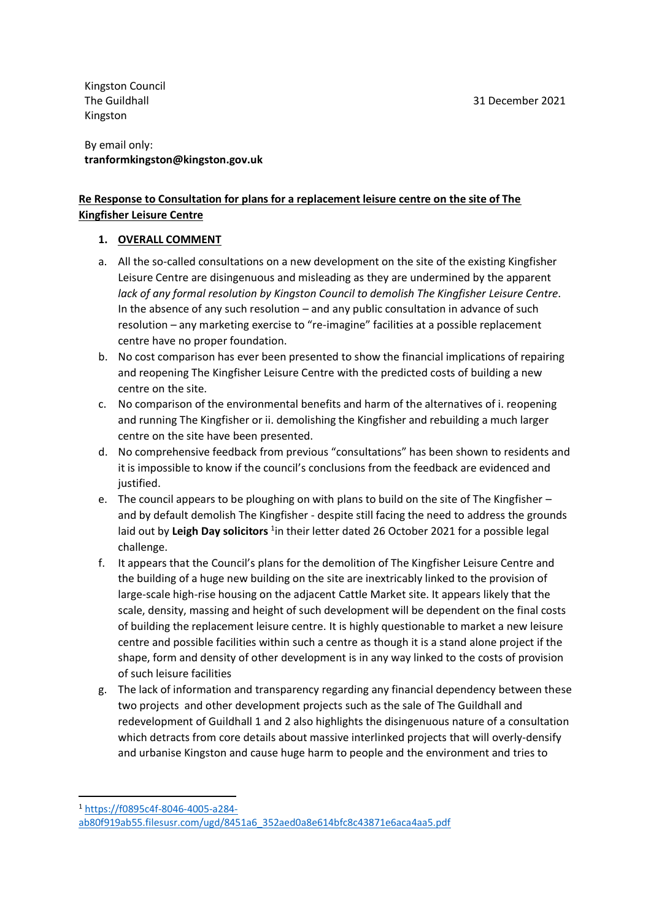Kingston Council The Guildhall Kingston

By email only: **tranformkingston@kingston.gov.uk**

## **Re Response to Consultation for plans for a replacement leisure centre on the site of The Kingfisher Leisure Centre**

## **1. OVERALL COMMENT**

- a. All the so-called consultations on a new development on the site of the existing Kingfisher Leisure Centre are disingenuous and misleading as they are undermined by the apparent *lack of any formal resolution by Kingston Council to demolish The Kingfisher Leisure Centre*. In the absence of any such resolution – and any public consultation in advance of such resolution – any marketing exercise to "re-imagine" facilities at a possible replacement centre have no proper foundation.
- b. No cost comparison has ever been presented to show the financial implications of repairing and reopening The Kingfisher Leisure Centre with the predicted costs of building a new centre on the site.
- c. No comparison of the environmental benefits and harm of the alternatives of i. reopening and running The Kingfisher or ii. demolishing the Kingfisher and rebuilding a much larger centre on the site have been presented.
- d. No comprehensive feedback from previous "consultations" has been shown to residents and it is impossible to know if the council's conclusions from the feedback are evidenced and justified.
- e. The council appears to be ploughing on with plans to build on the site of The Kingfisher and by default demolish The Kingfisher - despite still facing the need to address the grounds laid out by Leigh Day solicitors <sup>1</sup>in their letter dated 26 October 2021 for a possible legal challenge.
- f. It appears that the Council's plans for the demolition of The Kingfisher Leisure Centre and the building of a huge new building on the site are inextricably linked to the provision of large-scale high-rise housing on the adjacent Cattle Market site. It appears likely that the scale, density, massing and height of such development will be dependent on the final costs of building the replacement leisure centre. It is highly questionable to market a new leisure centre and possible facilities within such a centre as though it is a stand alone project if the shape, form and density of other development is in any way linked to the costs of provision of such leisure facilities
- g. The lack of information and transparency regarding any financial dependency between these two projects and other development projects such as the sale of The Guildhall and redevelopment of Guildhall 1 and 2 also highlights the disingenuous nature of a consultation which detracts from core details about massive interlinked projects that will overly-densify and urbanise Kingston and cause huge harm to people and the environment and tries to

<sup>1</sup> [https://f0895c4f-8046-4005-a284-](https://f0895c4f-8046-4005-a284-ab80f919ab55.filesusr.com/ugd/8451a6_352aed0a8e614bfc8c43871e6aca4aa5.pdf)

[ab80f919ab55.filesusr.com/ugd/8451a6\\_352aed0a8e614bfc8c43871e6aca4aa5.pdf](https://f0895c4f-8046-4005-a284-ab80f919ab55.filesusr.com/ugd/8451a6_352aed0a8e614bfc8c43871e6aca4aa5.pdf)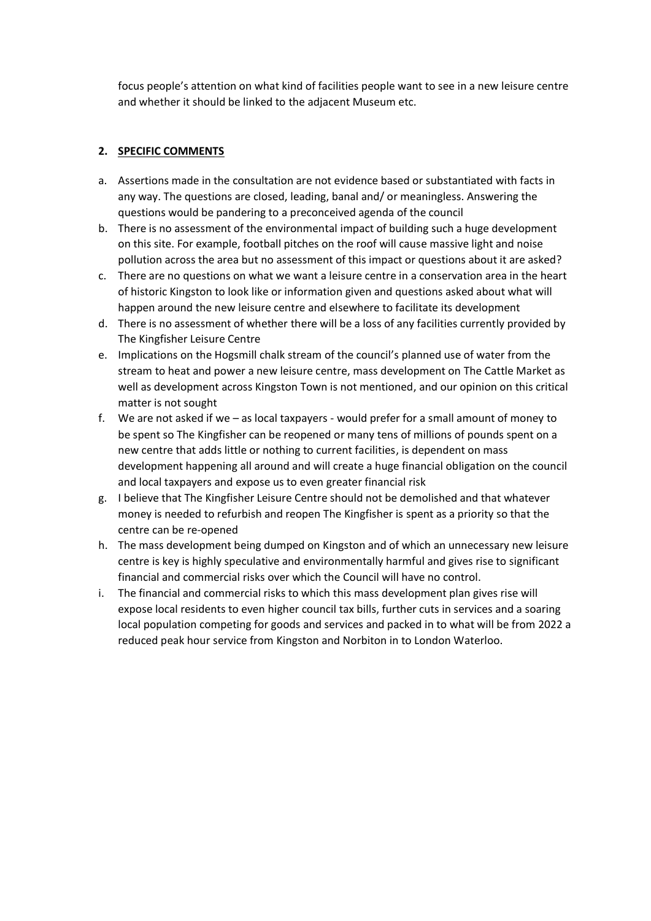focus people's attention on what kind of facilities people want to see in a new leisure centre and whether it should be linked to the adjacent Museum etc.

## **2. SPECIFIC COMMENTS**

- a. Assertions made in the consultation are not evidence based or substantiated with facts in any way. The questions are closed, leading, banal and/ or meaningless. Answering the questions would be pandering to a preconceived agenda of the council
- b. There is no assessment of the environmental impact of building such a huge development on this site. For example, football pitches on the roof will cause massive light and noise pollution across the area but no assessment of this impact or questions about it are asked?
- c. There are no questions on what we want a leisure centre in a conservation area in the heart of historic Kingston to look like or information given and questions asked about what will happen around the new leisure centre and elsewhere to facilitate its development
- d. There is no assessment of whether there will be a loss of any facilities currently provided by The Kingfisher Leisure Centre
- e. Implications on the Hogsmill chalk stream of the council's planned use of water from the stream to heat and power a new leisure centre, mass development on The Cattle Market as well as development across Kingston Town is not mentioned, and our opinion on this critical matter is not sought
- f. We are not asked if we as local taxpayers would prefer for a small amount of money to be spent so The Kingfisher can be reopened or many tens of millions of pounds spent on a new centre that adds little or nothing to current facilities, is dependent on mass development happening all around and will create a huge financial obligation on the council and local taxpayers and expose us to even greater financial risk
- g. I believe that The Kingfisher Leisure Centre should not be demolished and that whatever money is needed to refurbish and reopen The Kingfisher is spent as a priority so that the centre can be re-opened
- h. The mass development being dumped on Kingston and of which an unnecessary new leisure centre is key is highly speculative and environmentally harmful and gives rise to significant financial and commercial risks over which the Council will have no control.
- i. The financial and commercial risks to which this mass development plan gives rise will expose local residents to even higher council tax bills, further cuts in services and a soaring local population competing for goods and services and packed in to what will be from 2022 a reduced peak hour service from Kingston and Norbiton in to London Waterloo.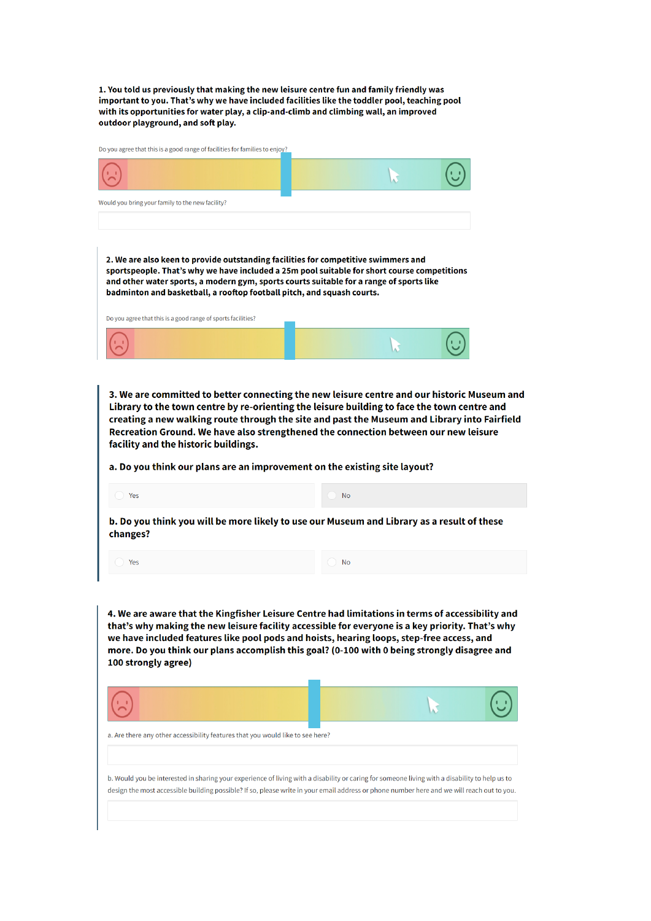1. You told us previously that making the new leisure centre fun and family friendly was<br>important to you. That's why we have included facilities like the toddler pool, teaching pool with its opportunities for water play, a clip-and-climb and climbing wall, an improved outdoor playground, and soft play.

|  |  | Do you agree that this is a good range of facilities for families to enjoy? |  |
|--|--|-----------------------------------------------------------------------------|--|
|  |  |                                                                             |  |

| Would you bring your family to the new facility?                                                                                                                                                                                                                                                                                                                                                                         |                                                                                                                                                                                                                                                                                                                                                                                   |  |  |  |
|--------------------------------------------------------------------------------------------------------------------------------------------------------------------------------------------------------------------------------------------------------------------------------------------------------------------------------------------------------------------------------------------------------------------------|-----------------------------------------------------------------------------------------------------------------------------------------------------------------------------------------------------------------------------------------------------------------------------------------------------------------------------------------------------------------------------------|--|--|--|
|                                                                                                                                                                                                                                                                                                                                                                                                                          |                                                                                                                                                                                                                                                                                                                                                                                   |  |  |  |
| 2. We are also keen to provide outstanding facilities for competitive swimmers and<br>and other water sports, a modern gym, sports courts suitable for a range of sports like<br>badminton and basketball, a rooftop football pitch, and squash courts.                                                                                                                                                                  | sportspeople. That's why we have included a 25m pool suitable for short course competitions                                                                                                                                                                                                                                                                                       |  |  |  |
| Do you agree that this is a good range of sports facilities?                                                                                                                                                                                                                                                                                                                                                             |                                                                                                                                                                                                                                                                                                                                                                                   |  |  |  |
|                                                                                                                                                                                                                                                                                                                                                                                                                          |                                                                                                                                                                                                                                                                                                                                                                                   |  |  |  |
| facility and the historic buildings.<br>a. Do you think our plans are an improvement on the existing site layout?                                                                                                                                                                                                                                                                                                        | 3. We are committed to better connecting the new leisure centre and our historic Museum and<br>Library to the town centre by re-orienting the leisure building to face the town centre and<br>creating a new walking route through the site and past the Museum and Library into Fairfield<br>Recreation Ground. We have also strengthened the connection between our new leisure |  |  |  |
| Yes                                                                                                                                                                                                                                                                                                                                                                                                                      | <b>No</b>                                                                                                                                                                                                                                                                                                                                                                         |  |  |  |
| changes?                                                                                                                                                                                                                                                                                                                                                                                                                 | b. Do you think you will be more likely to use our Museum and Library as a result of these                                                                                                                                                                                                                                                                                        |  |  |  |
| Yes                                                                                                                                                                                                                                                                                                                                                                                                                      | <b>No</b>                                                                                                                                                                                                                                                                                                                                                                         |  |  |  |
| 4. We are aware that the Kingfisher Leisure Centre had limitations in terms of accessibility and<br>that's why making the new leisure facility accessible for everyone is a key priority. That's why<br>we have included features like pool pods and hoists, hearing loops, step-free access, and<br>more. Do you think our plans accomplish this goal? (0-100 with 0 being strongly disagree and<br>100 strongly agree) |                                                                                                                                                                                                                                                                                                                                                                                   |  |  |  |
|                                                                                                                                                                                                                                                                                                                                                                                                                          |                                                                                                                                                                                                                                                                                                                                                                                   |  |  |  |
| a. Are there any other accessibility features that you would like to see here?                                                                                                                                                                                                                                                                                                                                           |                                                                                                                                                                                                                                                                                                                                                                                   |  |  |  |
|                                                                                                                                                                                                                                                                                                                                                                                                                          | b. Would you be interested in sharing your experience of living with a disability or caring for someone living with a disability to help us to<br>design the most accessible building possible? If so, please write in your email address or phone number here and we will reach out to you.                                                                                      |  |  |  |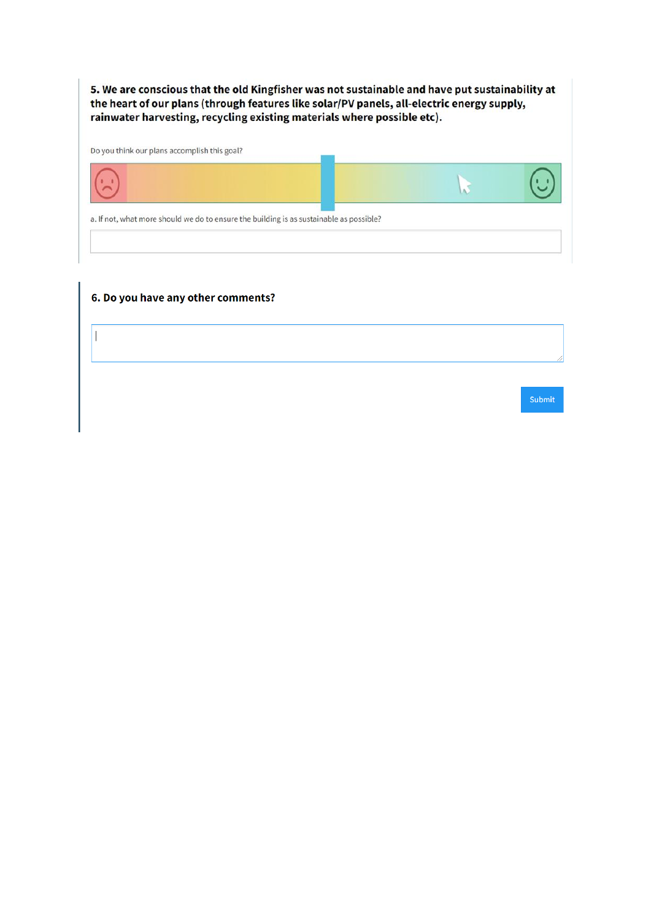5. We are conscious that the old Kingfisher was not sustainable and have put sustainability at the heart of our plans (through features like solar/PV panels, all-electric energy supply, rainwater harvesting, recycling existing materials where possible etc).

Do you think our plans accomplish this goal?



## 6. Do you have any other comments?

 $\overline{\phantom{a}}$ 

Submit